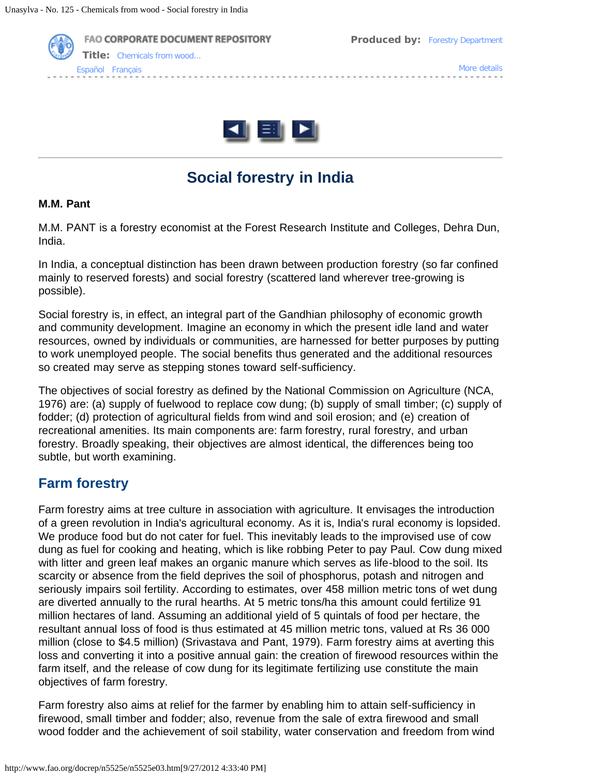



# **Social forestry in India**

#### **M.M. Pant**

M.M. PANT is a forestry economist at the Forest Research Institute and Colleges, Dehra Dun, India.

In India, a conceptual distinction has been drawn between production forestry (so far confined mainly to reserved forests) and social forestry (scattered land wherever tree-growing is possible).

Social forestry is, in effect, an integral part of the Gandhian philosophy of economic growth and community development. Imagine an economy in which the present idle land and water resources, owned by individuals or communities, are harnessed for better purposes by putting to work unemployed people. The social benefits thus generated and the additional resources so created may serve as stepping stones toward self-sufficiency.

The objectives of social forestry as defined by the National Commission on Agriculture (NCA, 1976) are: (a) supply of fuelwood to replace cow dung; (b) supply of small timber; (c) supply of fodder; (d) protection of agricultural fields from wind and soil erosion; and (e) creation of recreational amenities. Its main components are: farm forestry, rural forestry, and urban forestry. Broadly speaking, their objectives are almost identical, the differences being too subtle, but worth examining.

## **Farm forestry**

Farm forestry aims at tree culture in association with agriculture. It envisages the introduction of a green revolution in India's agricultural economy. As it is, India's rural economy is lopsided. We produce food but do not cater for fuel. This inevitably leads to the improvised use of cow dung as fuel for cooking and heating, which is like robbing Peter to pay Paul. Cow dung mixed with litter and green leaf makes an organic manure which serves as life-blood to the soil. Its scarcity or absence from the field deprives the soil of phosphorus, potash and nitrogen and seriously impairs soil fertility. According to estimates, over 458 million metric tons of wet dung are diverted annually to the rural hearths. At 5 metric tons/ha this amount could fertilize 91 million hectares of land. Assuming an additional yield of 5 quintals of food per hectare, the resultant annual loss of food is thus estimated at 45 million metric tons, valued at Rs 36 000 million (close to \$4.5 million) (Srivastava and Pant, 1979). Farm forestry aims at averting this loss and converting it into a positive annual gain: the creation of firewood resources within the farm itself, and the release of cow dung for its legitimate fertilizing use constitute the main objectives of farm forestry.

Farm forestry also aims at relief for the farmer by enabling him to attain self-sufficiency in firewood, small timber and fodder; also, revenue from the sale of extra firewood and small wood fodder and the achievement of soil stability, water conservation and freedom from wind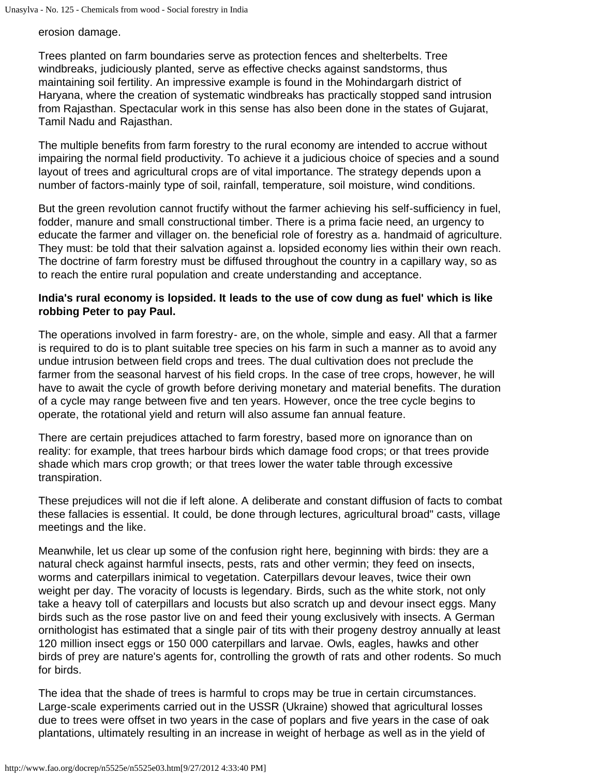erosion damage.

Trees planted on farm boundaries serve as protection fences and shelterbelts. Tree windbreaks, judiciously planted, serve as effective checks against sandstorms, thus maintaining soil fertility. An impressive example is found in the Mohindargarh district of Haryana, where the creation of systematic windbreaks has practically stopped sand intrusion from Rajasthan. Spectacular work in this sense has also been done in the states of Gujarat, Tamil Nadu and Rajasthan.

The multiple benefits from farm forestry to the rural economy are intended to accrue without impairing the normal field productivity. To achieve it a judicious choice of species and a sound layout of trees and agricultural crops are of vital importance. The strategy depends upon a number of factors-mainly type of soil, rainfall, temperature, soil moisture, wind conditions.

But the green revolution cannot fructify without the farmer achieving his self-sufficiency in fuel, fodder, manure and small constructional timber. There is a prima facie need, an urgency to educate the farmer and villager on. the beneficial role of forestry as a. handmaid of agriculture. They must: be told that their salvation against a. lopsided economy lies within their own reach. The doctrine of farm forestry must be diffused throughout the country in a capillary way, so as to reach the entire rural population and create understanding and acceptance.

#### **India's rural economy is lopsided. It leads to the use of cow dung as fuel' which is like robbing Peter to pay Paul.**

The operations involved in farm forestry- are, on the whole, simple and easy. All that a farmer is required to do is to plant suitable tree species on his farm in such a manner as to avoid any undue intrusion between field crops and trees. The dual cultivation does not preclude the farmer from the seasonal harvest of his field crops. In the case of tree crops, however, he will have to await the cycle of growth before deriving monetary and material benefits. The duration of a cycle may range between five and ten years. However, once the tree cycle begins to operate, the rotational yield and return will also assume fan annual feature.

There are certain prejudices attached to farm forestry, based more on ignorance than on reality: for example, that trees harbour birds which damage food crops; or that trees provide shade which mars crop growth; or that trees lower the water table through excessive transpiration.

These prejudices will not die if left alone. A deliberate and constant diffusion of facts to combat these fallacies is essential. It could, be done through lectures, agricultural broad" casts, village meetings and the like.

Meanwhile, let us clear up some of the confusion right here, beginning with birds: they are a natural check against harmful insects, pests, rats and other vermin; they feed on insects, worms and caterpillars inimical to vegetation. Caterpillars devour leaves, twice their own weight per day. The voracity of locusts is legendary. Birds, such as the white stork, not only take a heavy toll of caterpillars and locusts but also scratch up and devour insect eggs. Many birds such as the rose pastor live on and feed their young exclusively with insects. A German ornithologist has estimated that a single pair of tits with their progeny destroy annually at least 120 million insect eggs or 150 000 caterpillars and larvae. Owls, eagles, hawks and other birds of prey are nature's agents for, controlling the growth of rats and other rodents. So much for birds.

The idea that the shade of trees is harmful to crops may be true in certain circumstances. Large-scale experiments carried out in the USSR (Ukraine) showed that agricultural losses due to trees were offset in two years in the case of poplars and five years in the case of oak plantations, ultimately resulting in an increase in weight of herbage as well as in the yield of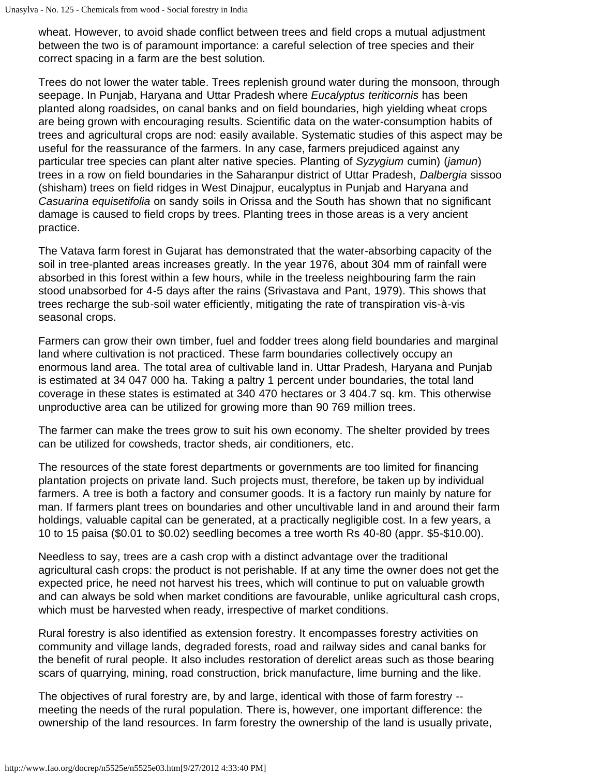Unasylva - No. 125 - Chemicals from wood - Social forestry in India

wheat. However, to avoid shade conflict between trees and field crops a mutual adjustment between the two is of paramount importance: a careful selection of tree species and their correct spacing in a farm are the best solution.

Trees do not lower the water table. Trees replenish ground water during the monsoon, through seepage. In Punjab, Haryana and Uttar Pradesh where *Eucalyptus teriticornis* has been planted along roadsides, on canal banks and on field boundaries, high yielding wheat crops are being grown with encouraging results. Scientific data on the water-consumption habits of trees and agricultural crops are nod: easily available. Systematic studies of this aspect may be useful for the reassurance of the farmers. In any case, farmers prejudiced against any particular tree species can plant alter native species. Planting of *Syzygium* cumin) (*jamun*) trees in a row on field boundaries in the Saharanpur district of Uttar Pradesh, *Dalbergia* sissoo (shisham) trees on field ridges in West Dinajpur, eucalyptus in Punjab and Haryana and *Casuarina equisetifolia* on sandy soils in Orissa and the South has shown that no significant damage is caused to field crops by trees. Planting trees in those areas is a very ancient practice.

The Vatava farm forest in Gujarat has demonstrated that the water-absorbing capacity of the soil in tree-planted areas increases greatly. In the year 1976, about 304 mm of rainfall were absorbed in this forest within a few hours, while in the treeless neighbouring farm the rain stood unabsorbed for 4-5 days after the rains (Srivastava and Pant, 1979). This shows that trees recharge the sub-soil water efficiently, mitigating the rate of transpiration vis-à-vis seasonal crops.

Farmers can grow their own timber, fuel and fodder trees along field boundaries and marginal land where cultivation is not practiced. These farm boundaries collectively occupy an enormous land area. The total area of cultivable land in. Uttar Pradesh, Haryana and Punjab is estimated at 34 047 000 ha. Taking a paltry 1 percent under boundaries, the total land coverage in these states is estimated at 340 470 hectares or 3 404.7 sq. km. This otherwise unproductive area can be utilized for growing more than 90 769 million trees.

The farmer can make the trees grow to suit his own economy. The shelter provided by trees can be utilized for cowsheds, tractor sheds, air conditioners, etc.

The resources of the state forest departments or governments are too limited for financing plantation projects on private land. Such projects must, therefore, be taken up by individual farmers. A tree is both a factory and consumer goods. It is a factory run mainly by nature for man. If farmers plant trees on boundaries and other uncultivable land in and around their farm holdings, valuable capital can be generated, at a practically negligible cost. In a few years, a 10 to 15 paisa (\$0.01 to \$0.02) seedling becomes a tree worth Rs 40-80 (appr. \$5-\$10.00).

Needless to say, trees are a cash crop with a distinct advantage over the traditional agricultural cash crops: the product is not perishable. If at any time the owner does not get the expected price, he need not harvest his trees, which will continue to put on valuable growth and can always be sold when market conditions are favourable, unlike agricultural cash crops, which must be harvested when ready, irrespective of market conditions.

Rural forestry is also identified as extension forestry. It encompasses forestry activities on community and village lands, degraded forests, road and railway sides and canal banks for the benefit of rural people. It also includes restoration of derelict areas such as those bearing scars of quarrying, mining, road construction, brick manufacture, lime burning and the like.

The objectives of rural forestry are, by and large, identical with those of farm forestry - meeting the needs of the rural population. There is, however, one important difference: the ownership of the land resources. In farm forestry the ownership of the land is usually private,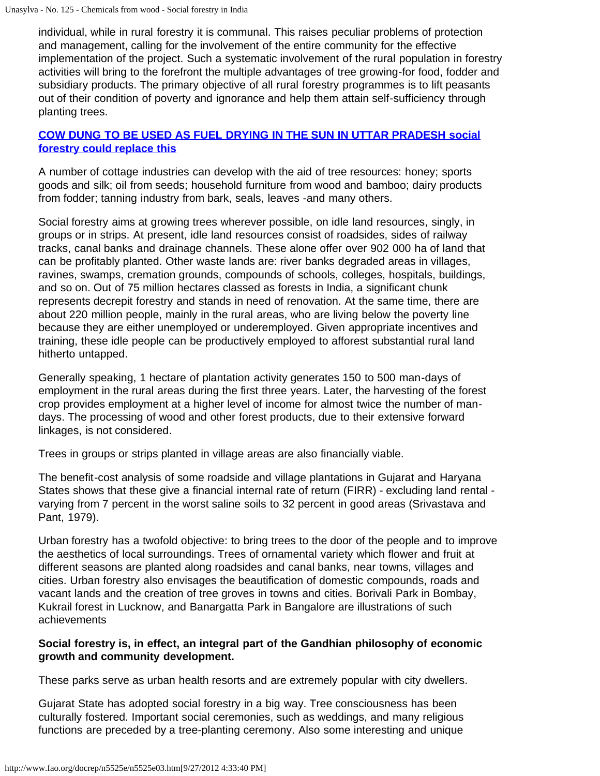individual, while in rural forestry it is communal. This raises peculiar problems of protection and management, calling for the involvement of the entire community for the effective implementation of the project. Such a systematic involvement of the rural population in forestry activities will bring to the forefront the multiple advantages of tree growing-for food, fodder and subsidiary products. The primary objective of all rural forestry programmes is to lift peasants out of their condition of poverty and ignorance and help them attain self-sufficiency through planting trees.

#### **[COW DUNG TO BE USED AS FUEL DRYING IN THE SUN IN UTTAR PRADESH social](http://www.fao.org/docrep/n5525e/n5525e06.jpg) [forestry could replace this](http://www.fao.org/docrep/n5525e/n5525e06.jpg)**

A number of cottage industries can develop with the aid of tree resources: honey; sports goods and silk; oil from seeds; household furniture from wood and bamboo; dairy products from fodder; tanning industry from bark, seals, leaves -and many others.

Social forestry aims at growing trees wherever possible, on idle land resources, singly, in groups or in strips. At present, idle land resources consist of roadsides, sides of railway tracks, canal banks and drainage channels. These alone offer over 902 000 ha of land that can be profitably planted. Other waste lands are: river banks degraded areas in villages, ravines, swamps, cremation grounds, compounds of schools, colleges, hospitals, buildings, and so on. Out of 75 million hectares classed as forests in India, a significant chunk represents decrepit forestry and stands in need of renovation. At the same time, there are about 220 million people, mainly in the rural areas, who are living below the poverty line because they are either unemployed or underemployed. Given appropriate incentives and training, these idle people can be productively employed to afforest substantial rural land hitherto untapped.

Generally speaking, 1 hectare of plantation activity generates 150 to 500 man-days of employment in the rural areas during the first three years. Later, the harvesting of the forest crop provides employment at a higher level of income for almost twice the number of mandays. The processing of wood and other forest products, due to their extensive forward linkages, is not considered.

Trees in groups or strips planted in village areas are also financially viable.

The benefit-cost analysis of some roadside and village plantations in Gujarat and Haryana States shows that these give a financial internal rate of return (FIRR) - excluding land rental varying from 7 percent in the worst saline soils to 32 percent in good areas (Srivastava and Pant, 1979).

Urban forestry has a twofold objective: to bring trees to the door of the people and to improve the aesthetics of local surroundings. Trees of ornamental variety which flower and fruit at different seasons are planted along roadsides and canal banks, near towns, villages and cities. Urban forestry also envisages the beautification of domestic compounds, roads and vacant lands and the creation of tree groves in towns and cities. Borivali Park in Bombay, Kukrail forest in Lucknow, and Banargatta Park in Bangalore are illustrations of such achievements

#### **Social forestry is, in effect, an integral part of the Gandhian philosophy of economic growth and community development.**

These parks serve as urban health resorts and are extremely popular with city dwellers.

Gujarat State has adopted social forestry in a big way. Tree consciousness has been culturally fostered. Important social ceremonies, such as weddings, and many religious functions are preceded by a tree-planting ceremony. Also some interesting and unique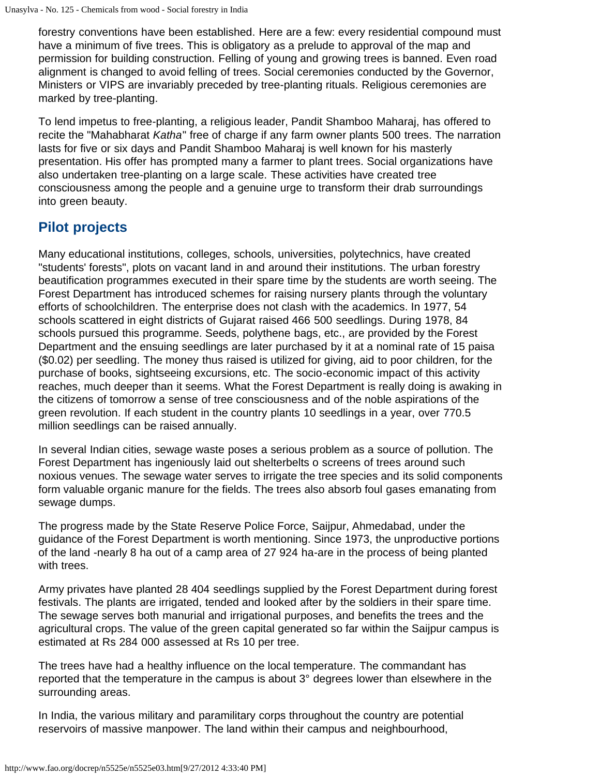forestry conventions have been established. Here are a few: every residential compound must have a minimum of five trees. This is obligatory as a prelude to approval of the map and permission for building construction. Felling of young and growing trees is banned. Even road alignment is changed to avoid felling of trees. Social ceremonies conducted by the Governor, Ministers or VIPS are invariably preceded by tree-planting rituals. Religious ceremonies are marked by tree-planting.

To lend impetus to free-planting, a religious leader, Pandit Shamboo Maharaj, has offered to recite the "Mahabharat *Katha*" free of charge if any farm owner plants 500 trees. The narration lasts for five or six days and Pandit Shamboo Maharaj is well known for his masterly presentation. His offer has prompted many a farmer to plant trees. Social organizations have also undertaken tree-planting on a large scale. These activities have created tree consciousness among the people and a genuine urge to transform their drab surroundings into green beauty.

## **Pilot projects**

Many educational institutions, colleges, schools, universities, polytechnics, have created "students' forests", plots on vacant land in and around their institutions. The urban forestry beautification programmes executed in their spare time by the students are worth seeing. The Forest Department has introduced schemes for raising nursery plants through the voluntary efforts of schoolchildren. The enterprise does not clash with the academics. In 1977, 54 schools scattered in eight districts of Gujarat raised 466 500 seedlings. During 1978, 84 schools pursued this programme. Seeds, polythene bags, etc., are provided by the Forest Department and the ensuing seedlings are later purchased by it at a nominal rate of 15 paisa (\$0.02) per seedling. The money thus raised is utilized for giving, aid to poor children, for the purchase of books, sightseeing excursions, etc. The socio-economic impact of this activity reaches, much deeper than it seems. What the Forest Department is really doing is awaking in the citizens of tomorrow a sense of tree consciousness and of the noble aspirations of the green revolution. If each student in the country plants 10 seedlings in a year, over 770.5 million seedlings can be raised annually.

In several Indian cities, sewage waste poses a serious problem as a source of pollution. The Forest Department has ingeniously laid out shelterbelts o screens of trees around such noxious venues. The sewage water serves to irrigate the tree species and its solid components form valuable organic manure for the fields. The trees also absorb foul gases emanating from sewage dumps.

The progress made by the State Reserve Police Force, Saijpur, Ahmedabad, under the guidance of the Forest Department is worth mentioning. Since 1973, the unproductive portions of the land -nearly 8 ha out of a camp area of 27 924 ha-are in the process of being planted with trees.

Army privates have planted 28 404 seedlings supplied by the Forest Department during forest festivals. The plants are irrigated, tended and looked after by the soldiers in their spare time. The sewage serves both manurial and irrigational purposes, and benefits the trees and the agricultural crops. The value of the green capital generated so far within the Saijpur campus is estimated at Rs 284 000 assessed at Rs 10 per tree.

The trees have had a healthy influence on the local temperature. The commandant has reported that the temperature in the campus is about 3° degrees lower than elsewhere in the surrounding areas.

In India, the various military and paramilitary corps throughout the country are potential reservoirs of massive manpower. The land within their campus and neighbourhood,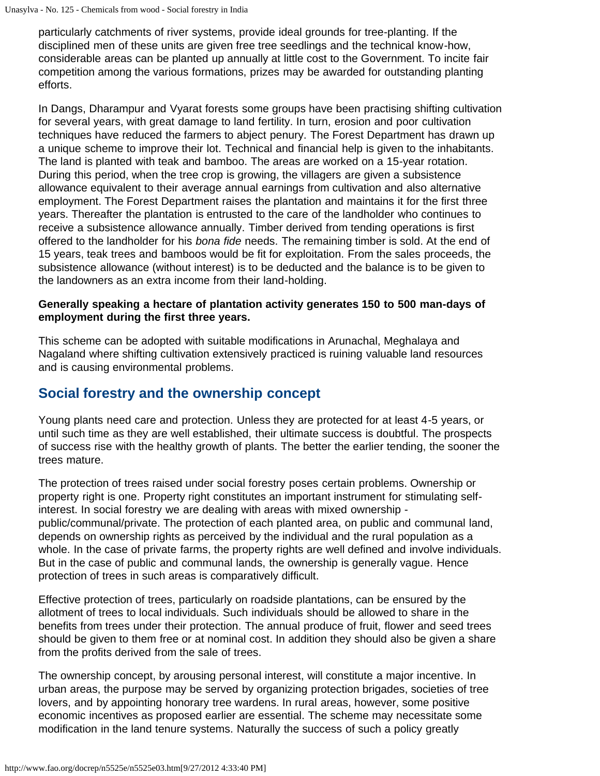particularly catchments of river systems, provide ideal grounds for tree-planting. If the disciplined men of these units are given free tree seedlings and the technical know-how, considerable areas can be planted up annually at little cost to the Government. To incite fair competition among the various formations, prizes may be awarded for outstanding planting efforts.

In Dangs, Dharampur and Vyarat forests some groups have been practising shifting cultivation for several years, with great damage to land fertility. In turn, erosion and poor cultivation techniques have reduced the farmers to abject penury. The Forest Department has drawn up a unique scheme to improve their lot. Technical and financial help is given to the inhabitants. The land is planted with teak and bamboo. The areas are worked on a 15-year rotation. During this period, when the tree crop is growing, the villagers are given a subsistence allowance equivalent to their average annual earnings from cultivation and also alternative employment. The Forest Department raises the plantation and maintains it for the first three years. Thereafter the plantation is entrusted to the care of the landholder who continues to receive a subsistence allowance annually. Timber derived from tending operations is first offered to the landholder for his *bona fide* needs. The remaining timber is sold. At the end of 15 years, teak trees and bamboos would be fit for exploitation. From the sales proceeds, the subsistence allowance (without interest) is to be deducted and the balance is to be given to the landowners as an extra income from their land-holding.

#### **Generally speaking a hectare of plantation activity generates 150 to 500 man-days of employment during the first three years.**

This scheme can be adopted with suitable modifications in Arunachal, Meghalaya and Nagaland where shifting cultivation extensively practiced is ruining valuable land resources and is causing environmental problems.

## **Social forestry and the ownership concept**

Young plants need care and protection. Unless they are protected for at least 4-5 years, or until such time as they are well established, their ultimate success is doubtful. The prospects of success rise with the healthy growth of plants. The better the earlier tending, the sooner the trees mature.

The protection of trees raised under social forestry poses certain problems. Ownership or property right is one. Property right constitutes an important instrument for stimulating selfinterest. In social forestry we are dealing with areas with mixed ownership public/communal/private. The protection of each planted area, on public and communal land, depends on ownership rights as perceived by the individual and the rural population as a whole. In the case of private farms, the property rights are well defined and involve individuals. But in the case of public and communal lands, the ownership is generally vague. Hence protection of trees in such areas is comparatively difficult.

Effective protection of trees, particularly on roadside plantations, can be ensured by the allotment of trees to local individuals. Such individuals should be allowed to share in the benefits from trees under their protection. The annual produce of fruit, flower and seed trees should be given to them free or at nominal cost. In addition they should also be given a share from the profits derived from the sale of trees.

The ownership concept, by arousing personal interest, will constitute a major incentive. In urban areas, the purpose may be served by organizing protection brigades, societies of tree lovers, and by appointing honorary tree wardens. In rural areas, however, some positive economic incentives as proposed earlier are essential. The scheme may necessitate some modification in the land tenure systems. Naturally the success of such a policy greatly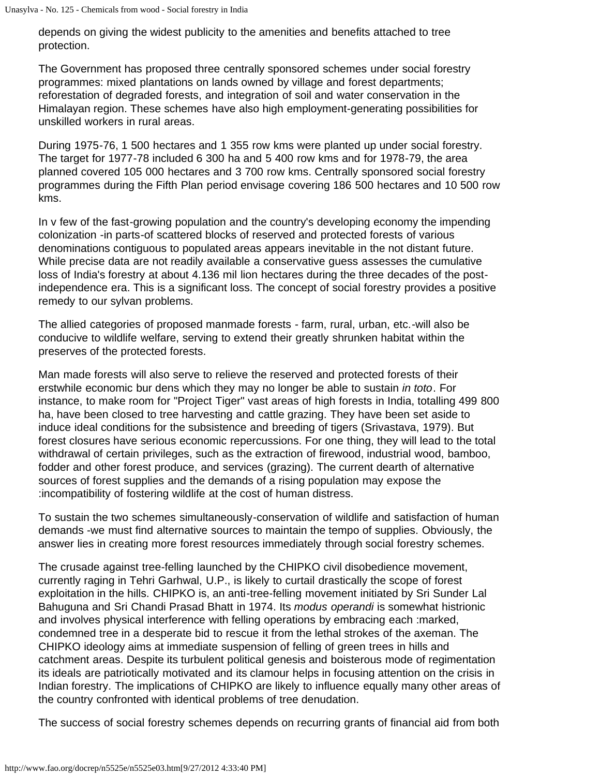depends on giving the widest publicity to the amenities and benefits attached to tree protection.

The Government has proposed three centrally sponsored schemes under social forestry programmes: mixed plantations on lands owned by village and forest departments; reforestation of degraded forests, and integration of soil and water conservation in the Himalayan region. These schemes have also high employment-generating possibilities for unskilled workers in rural areas.

During 1975-76, 1 500 hectares and 1 355 row kms were planted up under social forestry. The target for 1977-78 included 6 300 ha and 5 400 row kms and for 1978-79, the area planned covered 105 000 hectares and 3 700 row kms. Centrally sponsored social forestry programmes during the Fifth Plan period envisage covering 186 500 hectares and 10 500 row kms.

In v few of the fast-growing population and the country's developing economy the impending colonization -in parts-of scattered blocks of reserved and protected forests of various denominations contiguous to populated areas appears inevitable in the not distant future. While precise data are not readily available a conservative guess assesses the cumulative loss of India's forestry at about 4.136 mil lion hectares during the three decades of the postindependence era. This is a significant loss. The concept of social forestry provides a positive remedy to our sylvan problems.

The allied categories of proposed manmade forests - farm, rural, urban, etc.-will also be conducive to wildlife welfare, serving to extend their greatly shrunken habitat within the preserves of the protected forests.

Man made forests will also serve to relieve the reserved and protected forests of their erstwhile economic bur dens which they may no longer be able to sustain *in toto*. For instance, to make room for "Project Tiger" vast areas of high forests in India, totalling 499 800 ha, have been closed to tree harvesting and cattle grazing. They have been set aside to induce ideal conditions for the subsistence and breeding of tigers (Srivastava, 1979). But forest closures have serious economic repercussions. For one thing, they will lead to the total withdrawal of certain privileges, such as the extraction of firewood, industrial wood, bamboo, fodder and other forest produce, and services (grazing). The current dearth of alternative sources of forest supplies and the demands of a rising population may expose the :incompatibility of fostering wildlife at the cost of human distress.

To sustain the two schemes simultaneously-conservation of wildlife and satisfaction of human demands -we must find alternative sources to maintain the tempo of supplies. Obviously, the answer lies in creating more forest resources immediately through social forestry schemes.

The crusade against tree-felling launched by the CHIPKO civil disobedience movement, currently raging in Tehri Garhwal, U.P., is likely to curtail drastically the scope of forest exploitation in the hills. CHIPKO is, an anti-tree-felling movement initiated by Sri Sunder Lal Bahuguna and Sri Chandi Prasad Bhatt in 1974. Its *modus operandi* is somewhat histrionic and involves physical interference with felling operations by embracing each :marked, condemned tree in a desperate bid to rescue it from the lethal strokes of the axeman. The CHIPKO ideology aims at immediate suspension of felling of green trees in hills and catchment areas. Despite its turbulent political genesis and boisterous mode of regimentation its ideals are patriotically motivated and its clamour helps in focusing attention on the crisis in Indian forestry. The implications of CHIPKO are likely to influence equally many other areas of the country confronted with identical problems of tree denudation.

The success of social forestry schemes depends on recurring grants of financial aid from both